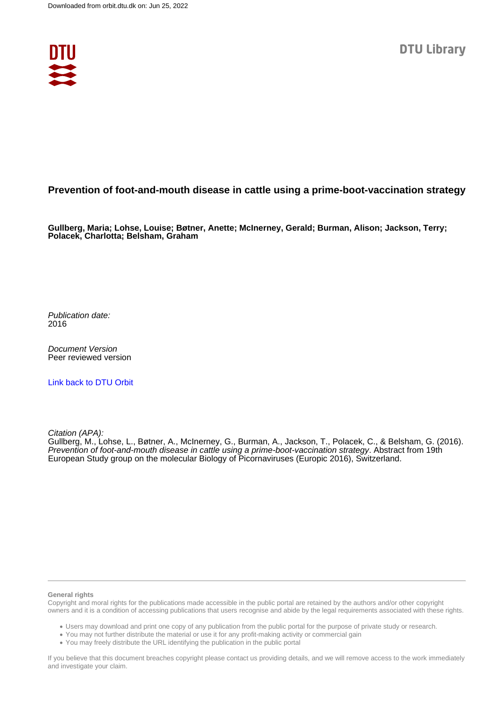

## **Prevention of foot-and-mouth disease in cattle using a prime-boot-vaccination strategy**

**Gullberg, Maria; Lohse, Louise; Bøtner, Anette; McInerney, Gerald; Burman, Alison; Jackson, Terry; Polacek, Charlotta; Belsham, Graham**

Publication date: 2016

Document Version Peer reviewed version

[Link back to DTU Orbit](https://orbit.dtu.dk/en/publications/e0fe5e01-9fcb-441e-af41-fac2e6df6214)

Citation (APA):

Gullberg, M., Lohse, L., Bøtner, A., McInerney, G., Burman, A., Jackson, T., Polacek, C., & Belsham, G. (2016). Prevention of foot-and-mouth disease in cattle using a prime-boot-vaccination strategy. Abstract from 19th European Study group on the molecular Biology of Picornaviruses (Europic 2016), Switzerland.

## **General rights**

Copyright and moral rights for the publications made accessible in the public portal are retained by the authors and/or other copyright owners and it is a condition of accessing publications that users recognise and abide by the legal requirements associated with these rights.

Users may download and print one copy of any publication from the public portal for the purpose of private study or research.

- You may not further distribute the material or use it for any profit-making activity or commercial gain
- You may freely distribute the URL identifying the publication in the public portal

If you believe that this document breaches copyright please contact us providing details, and we will remove access to the work immediately and investigate your claim.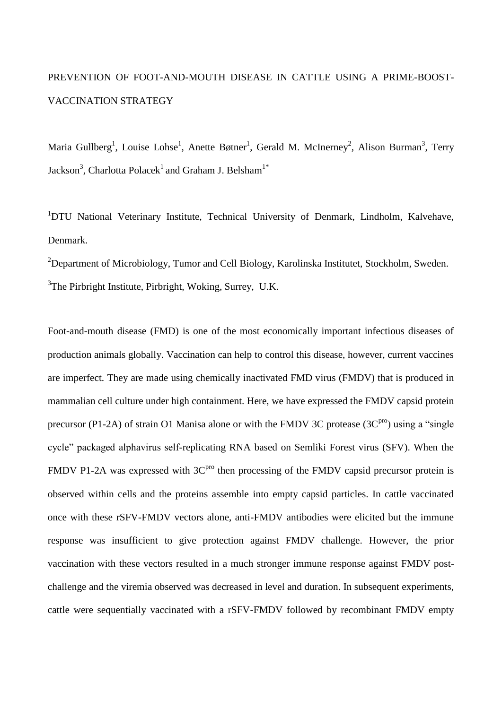## PREVENTION OF FOOT-AND-MOUTH DISEASE IN CATTLE USING A PRIME-BOOST-VACCINATION STRATEGY

Maria Gullberg<sup>1</sup>, Louise Lohse<sup>1</sup>, Anette Bøtner<sup>1</sup>, Gerald M. McInerney<sup>2</sup>, Alison Burman<sup>3</sup>, Terry Jackson<sup>3</sup>, Charlotta Polacek<sup>1</sup> and Graham J. Belsham<sup>1\*</sup>

<sup>1</sup>DTU National Veterinary Institute, Technical University of Denmark, Lindholm, Kalvehave, Denmark.

<sup>2</sup>Department of Microbiology, Tumor and Cell Biology, Karolinska Institutet, Stockholm, Sweden.  $3$ The Pirbright Institute, Pirbright, Woking, Surrey, U.K.

Foot-and-mouth disease (FMD) is one of the most economically important infectious diseases of production animals globally. Vaccination can help to control this disease, however, current vaccines are imperfect. They are made using chemically inactivated FMD virus (FMDV) that is produced in mammalian cell culture under high containment. Here, we have expressed the FMDV capsid protein precursor (P1-2A) of strain O1 Manisa alone or with the FMDV 3C protease  $(3C<sup>pro</sup>)$  using a "single" cycle" packaged alphavirus self-replicating RNA based on Semliki Forest virus (SFV). When the FMDV P1-2A was expressed with  $3C<sup>pro</sup>$  then processing of the FMDV capsid precursor protein is observed within cells and the proteins assemble into empty capsid particles. In cattle vaccinated once with these rSFV-FMDV vectors alone, anti-FMDV antibodies were elicited but the immune response was insufficient to give protection against FMDV challenge. However, the prior vaccination with these vectors resulted in a much stronger immune response against FMDV postchallenge and the viremia observed was decreased in level and duration. In subsequent experiments, cattle were sequentially vaccinated with a rSFV-FMDV followed by recombinant FMDV empty